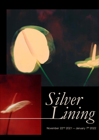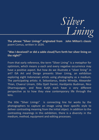

**The phrase "Silver Linings" originated from John Milton's classic** poem Comus, written in 1634.

### **"Was I deceived? or did a sable cloud/Turn forth her silver lining on the night?"**

From that early reference, the term "Silver Lining" is a metaphor for optimism, which means a each and every negative occurrence may have a positive aspect. But how do we illustrate a "silver lining" in art? ISA Art and Design presents Silver Lining, an exhibition exploring eight Indonesian artists using photography as a medium. The participating artists: A. Sebastianus, Andre Wiredja, Alexander Thian, Chaerul Umam, Dilla Djalil Daniel, Hardijanto Budiman, Nico Dharmajungen, and Reza Kutjh each have a very different perspective as to how they view contemporary life through the lens.

The title "Silver Linings" is connecting line for works by the photographers to capture an image using their specific style to deliver contrasting meaning from the initial object. In addition to the contrasting meanings in this exhibition, there is a diversity in the medium, method, equipment and editing processes.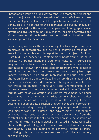Photographic work is an idea way to capture a moment. It slows one down to enjoy an unhurried snapshot of the artist's ideas and see the different points of view and the specific ways in which an artist thinks. This is in contrast to the experience of scrolling images on social media just for the sake of visual pleasure. Photographic works elevate and give space to individual stories, including narratives and visions presented through artistic and formalistic exploration of the visuals captured by the artists.

Silver Lining combines the works of eight artists to portray their objectives of photography and deliver a contrasting meaning to leave it for the audience to interpret further. Hardijanto Budiman (Hardibudi) is a conceptual contemporary photographer based in Jakarta. He frames mundane traditional cultures in surrealistic imageries and intricate colors; Chaerul Umam is a professional photographer known for his landscape photographs, who combines unexplored nature objects into exotic and breath taking landscape images; Alexander Thian builds impressive techniques and gives photos an illusionary effect while telling a story through his art; Dilla Daniel is a Jakarta based documentary photographer who focuses her works on animals in sanctuary. Nico Dharmajungen is an Indonesia maestro who creates an emotional still life in 35mm film format, with color exploration and camera movement; Alexander Sebastianus is a contemporary artist, ethnographer, and writer known for the art of weaving. He shows the varying forms of becoming a seed and its direction of growth that are in correlation to their surroundings during his forest pilgrimage; Andre Wiredja who mainly works for editorial and advertisement, photographs evocative shots serve to remain us how close we are from the constant beauty that is the sky no matter how it is the situation on the ground; Reza Kutjh is a visual artist based in Yogyakarta who plays with photo fragments made from exploratory analog photography using acid reactions to generate artistic surprises, correlating to his works that concern a sense of collective memory and found objects.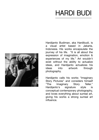# **HARDI BUDI**



Hardijanto Budiman, aka Hardibudi, is a visual artist based in Jakarta, Indonesia. His works encapsulate the journey of his life. "It is all about the expression of imagination, emotion & experiences of my life." Art wouldn't exist without the ability to actualize ideas, and Hardijanto actualizes his ideas into artwork through photography.

Hardijanto calls his works "Imaginary Story Pictures" and considers himself "The Imaginary Story Teller." Hardijanto's signature style is conceptual contemporary photography, and loves everything about surreal art, giving his works a strong surreal art influence.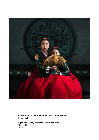

#### **POEM FOR SISTERS (edition of 8 + 2 Artist Proofs)** Photography

Digital Photography, printed on Hahnemuhle paper. 100 x 100 cm 2019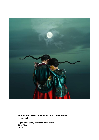

#### **MOONLIGHT SONATA (edition of 8 + 2 Artist Proofs)** Photography

Digital Photography, printed on photo paper. 75 x 75 cm 2019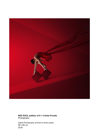

**RED SOUL (edition of 8 + 2 Artist Proofs) Photography** 

Digital Photography, printed on photo paper. 80 x 80 cm 2018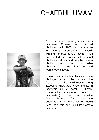# **CHAERUL UMAM**



A professional photographer from Indonesia, Chaerul Umam started photography in 2005 and became an international competition awardwinning photographer. Uman has participated in many international photo exhibitions and has become a photo guru for Indonesian photographers doing photo tours and workshops since 2014.

Uman is known for his black and white photography, and he is also the founder of the well-known Long Exposure Photography Community in Indonesia (SIKSA KAMERA). Lastly, Uman is the ambassador of Nisi Filter Indonesia (Nisi Filter is a worldwide filter brand for landscape photography), an influencer for Laowa Lens Indonesia and Fuji Film Camera Indonesia.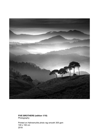

#### **FIVE BROTHERS (edition 1/10)** Photography

Printed on Hahnemuhle photo rag smooth 305 gsm 100 x 100 cm 2018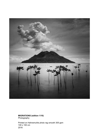

**MIGRATIONS (edition 1/10)** Photography

Printed on Hahnemuhle photo rag smooth 305 gsm 100 x 100 cm 2016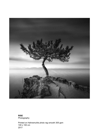

**RISE** Photography

Printed on Hahnemuhle photo rag smooth 305 gsm 100 x 100 cm 2017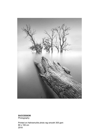

**SUCCESSOR**

Photography

Printed on Hahnemuhle photo rag smooth 305 gsm 80 x 100 cm 2019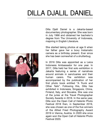# **DILLA DJALIL DANIEL**

Dilla Djalil Daniel is a Jakarta-based documentary photographer. She was born in July 1966 and obtained her bachelor's degree from The University of Indonesia, majoring in English Literature.

She started taking photos at age 9 when her father gave her a boxy Instamatic camera as a birthday present. Ever since she has been somewhat of a shutterbug.

In 2016 Dilla was appointed as a Leica Indonesia Ambassador for one year. In 2017, Dilla held her first solo exhibition in Jakarta featuring a series of narratives around animals in sanctuaries and their human carers. The exhibition was accompanied by the publication of her first photo book entitled "A Trunk and Other Tails". Following this, Dilla has exhibited in Indonesia, Singapore, China, Finland, Italy, and Slovakia. She was one of the juries at the Travel Photographer Society Awards in 2018. In the same year, Dilla won the Open Call of Helsinki Photo Festival 2018 then, in September 2019, she was chosen as one of the five winners of the Alfred Fried Photography Award 2019 in Vienna, Austria. In 2020 she once again won the Open Call of Helsinki Photo Festival 2020.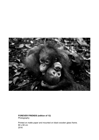

**FOREVER FRIENDS (edition of 12)** Photography

Printed on matte paper and mounted on black wooden glass frame. 80 x 60 cm 2016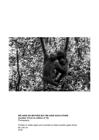

**WE HAVE NO MOTHER BUT WE HAVE EACH OTHER (number 5 from an edition of 12) Photography** 

Printed on matte paper and mounted on black wooden glass frame. 80 x 60 cm 2016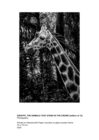

#### **GIRAFFE, THE ANIMALS THAT STAND IN THE CROWD (edition of 12)** Photography

Printed on Hahnemuhle Paper mounted on glass wooden frame 75 x 110 cm 2020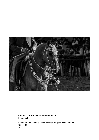

**CRIOLLO OF ARGENTINA (edition of 12)** Photography

Printed on Hahnemuhle Paper mounted on glass wooden frame 150 x 130 cm 2011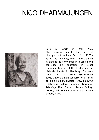### **NICO DHARMAJUNGEN**



Born in Jakarta in 1948, Nico Dharmajungen learnt the art of photography from Peter Busch from 1970 - 1971. The following year, Dharmajungen studied at the Hamburger Foto Schule and continued his education in visual communication art at the Hochschule fur bildende Kunste in Hamburg, Germany from 1972 – 1977. From 1989 through 1998, Dharmajungen set forth on a series of solo exhibitions entitled, *Heaven & Earth* - Olympus Gallery, Hamburg, Germany; *Arkeologi Abad Mesin* - Antara Gallery, Jakarta; and *I See. I Feel, never die* - Cahya Gallery, Jakarta.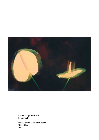

**YIN YANG (edition 1/5)** Photography

Metal Print UV with white dbond 100 x 64 cm 1994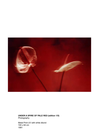

**UNDER A SPIRE OF PALE RED (edition 1/5)** Photography

Metal Print UV with white dbond 100 x 64 cm 1991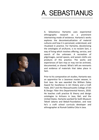## **A. SEBASTIANUS**



A. Sebastianus Hartanto uses experiential ethnographic research as a prominent intertwining mode of existence. Hartanto's works explores the decontextualization of material cultures and how it is perceived, understood, and ritualized in practice. For Hartanto, decolonizing the ontologies of aɾt/kunst, is to reclaim Sani, a way of living which involves offering, service, and search of the unknown. A recreation of pilgrimages, sacred spaces, and woven cloths are products of this practice. The works and experiences of Sani may or may not be archived, documented, or shared. What's left are remnants and evidence of materials that takes place in Sani.

Prior to his comparative art studies, Hartanto was an apprentice for a Javanese master weaver, in East Java. He was awarded the William Daley Award for Excellence in Art History and a Craft Field, 2017 and the Massachusetts College of Art & Design: Fiber Arts Departmental Honors, 2018. He teaches craft practice & theory and design ontologies to Artisans in Java, Bali, and the United States. Hartanto worked for both Museum Tekstil Jakarta and Bebali-Foundation, and now he's a craft school curricula developer and ethnographer at Rumah Sukkha Citta in Java.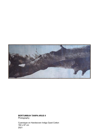

### **BERTUMBUH TANPA ARUS II**

Photography

Cyanotype on Handwoven Indigo Dyed Cotton 164 x 67 cm 2021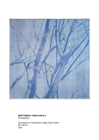

### **BERTUMBUH TANPA ARUS II**

Photography

Cyanotype on Handwoven Indigo Dyed Cotton 98 x 98 cm 2021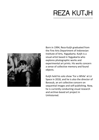### **REZA KUTJH**



Born in 1994, Reza Kutjh graduated from the Fine Arts Department of Indonesian Institute of Arts, Yogyakarta. Kutjh is a visual artist based in Yogyakarta who explores photographic works and experimental art prints. His works concern a sense of collective memory and found objects.

Kutjh held his solo show 'For a While' at Lir Space in 2018, and he is also the director of Barasub, an art collective concern on sequential images and self-publishing. Now, he is currently conducting visual research and archive-based art project in Unhistoried.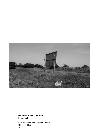

**ON THE SHORE (1 edition)** Photography

Print on Paper, with Wooden Frame 120cm X 68 cm 2021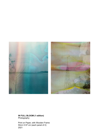



**IN FULL BLOOM (1 edition)** Photography

Print on Paper, with Wooden Frame 50cm X 67 cm (each panel of 2) 2021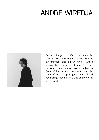### **ANDRE WIREDJA**



Andre Wiredja (b. 1986) is a talent for narrative stories through his signature raw, overexposed, and quirky style. Andre always shares a sense of honest, strong personal characters on every subject in front of his camera. He has worked for some of the most prestigious editorial and advertising clients in Asia and exhibited his works in UK.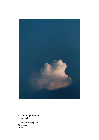

**CLOUD 4.0 (edition of 3)** Photography

Printed on photo paper. 60 x 80 cm 2020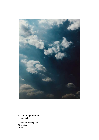

**CLOUD 6.0 (edition of 3)** Photography

Printed on photo paper. 60 x 80 cm 2020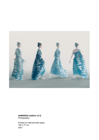

**HAMANGU (edition of 3)** Photography

Printed on Hahnemuhle paper. 100 x 77 cm 2021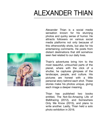# **ALEXANDER THIAN**



Alexander Thian is a social media sensation known for his stunnjng photos and quirky sense of humor. He attracts followers on various social media platforms not only because of this otherworldly shots, but also for his entertaining comments. He posts from distant destinations that still somehow seen feel related to our daily lives.

Thain's adventures bring him to the most beautiful, untouched parts of the planet, where with the click of a shutter, he captures glimpses of the landscape, people, and culture. His pictures are honest with a little personal story behind each shot. These stories make his photos unique, giving each image a deeper meaning.

Thian has published two books entitled, The Not-So-Amazing Life of @aMrazing (2012), and Somewhere Only We Know (2015), and plans to write another. Lastly, Thian held a solo photo exhibition in 2016.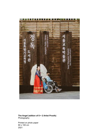

**The Angel (edition of 8 + 2 Artist Proofs) Photography** 

Printed on photo paper 80 x 100 cm 2021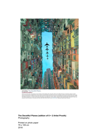

amrazing I The Deceitful Planes ALetMeTellYauAStary

ALARMAN AND THE MELTING THE SERVE OF THE SERVE AND THE SERVE OF THE SERVE AND THE SERVE OF THE SERVE IN THE SERVE OF THE SERVE OF THE SERVE AND THE SERVE OF THE SERVE OF THE SERVE OF THE SERVE OF THE SERVE OF THE SERVE OF

**The Deceitful Planes (edition of 8 + 2 Artist Proofs)** Photography

Printed on photo paper 79 x 109 cm 2018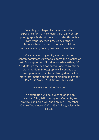Collecting photography is a new medium experience for many collectors. But 21<sup>st</sup> century photography is about the artist stories through a contemporary medium. Many of these photographers are internationally acclaimed artists, winning prestigious awards worldwide.

Creativity and ingenuity are the souls of contemporary artists who take forth the practice of art. As a supporter of local Indonesian artists, ISA Art & Design focuses not only on one conventional work medium. Photography will continue to develop as an art that has a strong identity. For more information about this exhibition and other ISA Art & Design Exhibitions, please visit

[www.isaartanddesign.com.](http://www.isaartanddesign.com/)

This exhibition will be launched online on November 21st, 2021 during Art Moments, and physical exhibition will open on 10<sup>th</sup> December 2021 to 7<sup>th</sup> January 2022 at ISA Gallery, Wisma 46 Jakarta.